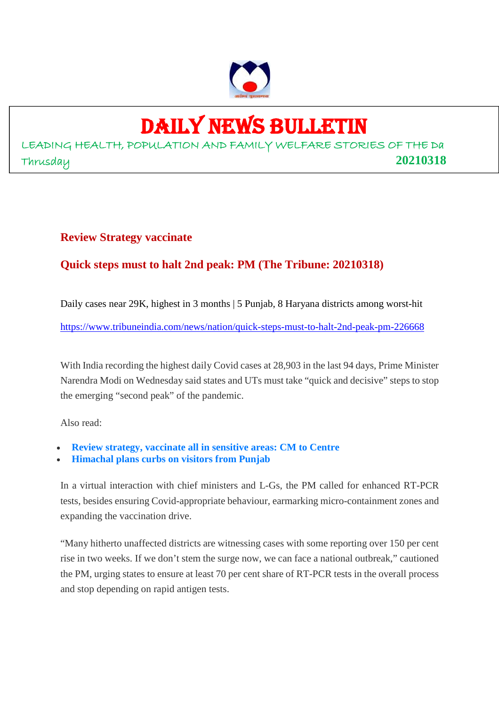

## DAILY NEWS BULLETIN

LEADING HEALTH, POPULATION AND FAMILY WELFARE STORIES OF THE Da Thrusday **20210318**

#### **Review Strategy vaccinate**

#### **Quick steps must to halt 2nd peak: PM (The Tribune: 20210318)**

Daily cases near 29K, highest in 3 months | 5 Punjab, 8 Haryana districts among worst-hit

https://www.tribuneindia.com/news/nation/quick-steps-must-to-halt-2nd-peak-pm-226668

With India recording the highest daily Covid cases at 28,903 in the last 94 days, Prime Minister Narendra Modi on Wednesday said states and UTs must take "quick and decisive" steps to stop the emerging "second peak" of the pandemic.

Also read:

- **Review strategy, vaccinate all in sensitive areas: CM to Centre**
- **Himachal plans curbs on visitors from Punjab**

In a virtual interaction with chief ministers and L-Gs, the PM called for enhanced RT-PCR tests, besides ensuring Covid-appropriate behaviour, earmarking micro-containment zones and expanding the vaccination drive.

"Many hitherto unaffected districts are witnessing cases with some reporting over 150 per cent rise in two weeks. If we don't stem the surge now, we can face a national outbreak," cautioned the PM, urging states to ensure at least 70 per cent share of RT-PCR tests in the overall process and stop depending on rapid antigen tests.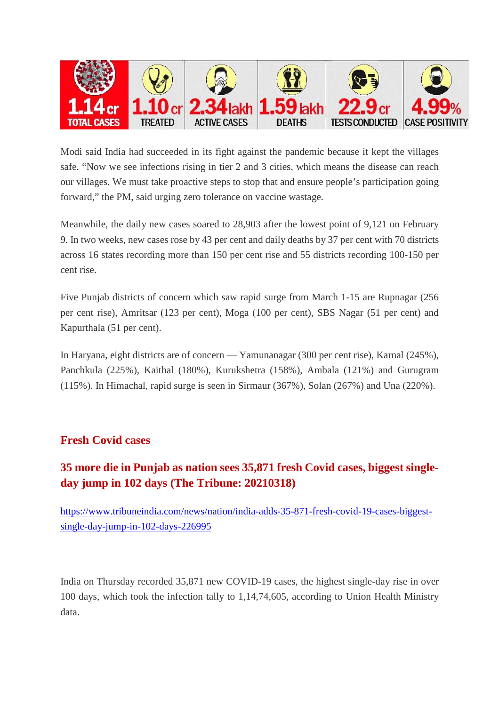

Modi said India had succeeded in its fight against the pandemic because it kept the villages safe. "Now we see infections rising in tier 2 and 3 cities, which means the disease can reach our villages. We must take proactive steps to stop that and ensure people's participation going forward," the PM, said urging zero tolerance on vaccine wastage.

Meanwhile, the daily new cases soared to 28,903 after the lowest point of 9,121 on February 9. In two weeks, new cases rose by 43 per cent and daily deaths by 37 per cent with 70 districts across 16 states recording more than 150 per cent rise and 55 districts recording 100-150 per cent rise.

Five Punjab districts of concern which saw rapid surge from March 1-15 are Rupnagar (256 per cent rise), Amritsar (123 per cent), Moga (100 per cent), SBS Nagar (51 per cent) and Kapurthala (51 per cent).

In Haryana, eight districts are of concern — Yamunanagar (300 per cent rise), Karnal (245%), Panchkula (225%), Kaithal (180%), Kurukshetra (158%), Ambala (121%) and Gurugram (115%). In Himachal, rapid surge is seen in Sirmaur (367%), Solan (267%) and Una (220%).

#### **Fresh Covid cases**

#### **35 more die in Punjab as nation sees 35,871 fresh Covid cases, biggest singleday jump in 102 days (The Tribune: 20210318)**

https://www.tribuneindia.com/news/nation/india-adds-35-871-fresh-covid-19-cases-biggestsingle-day-jump-in-102-days-226995

India on Thursday recorded 35,871 new COVID-19 cases, the highest single-day rise in over 100 days, which took the infection tally to 1,14,74,605, according to Union Health Ministry data.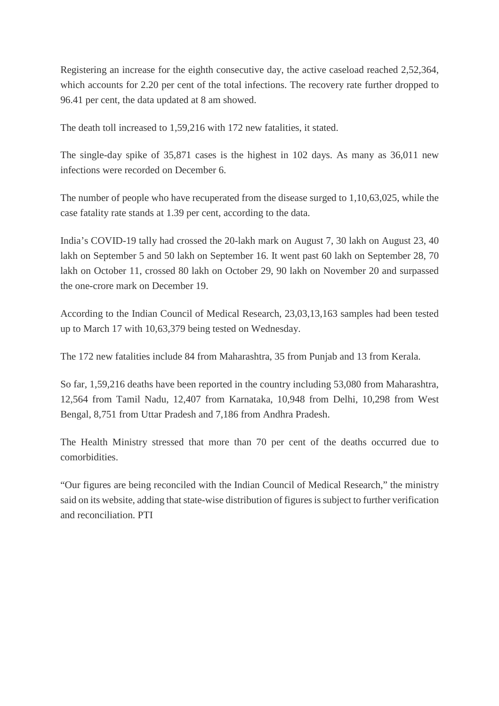Registering an increase for the eighth consecutive day, the active caseload reached 2,52,364, which accounts for 2.20 per cent of the total infections. The recovery rate further dropped to 96.41 per cent, the data updated at 8 am showed.

The death toll increased to 1,59,216 with 172 new fatalities, it stated.

The single-day spike of 35,871 cases is the highest in 102 days. As many as 36,011 new infections were recorded on December 6.

The number of people who have recuperated from the disease surged to 1,10,63,025, while the case fatality rate stands at 1.39 per cent, according to the data.

India's COVID-19 tally had crossed the 20-lakh mark on August 7, 30 lakh on August 23, 40 lakh on September 5 and 50 lakh on September 16. It went past 60 lakh on September 28, 70 lakh on October 11, crossed 80 lakh on October 29, 90 lakh on November 20 and surpassed the one-crore mark on December 19.

According to the Indian Council of Medical Research, 23,03,13,163 samples had been tested up to March 17 with 10,63,379 being tested on Wednesday.

The 172 new fatalities include 84 from Maharashtra, 35 from Punjab and 13 from Kerala.

So far, 1,59,216 deaths have been reported in the country including 53,080 from Maharashtra, 12,564 from Tamil Nadu, 12,407 from Karnataka, 10,948 from Delhi, 10,298 from West Bengal, 8,751 from Uttar Pradesh and 7,186 from Andhra Pradesh.

The Health Ministry stressed that more than 70 per cent of the deaths occurred due to comorbidities.

"Our figures are being reconciled with the Indian Council of Medical Research," the ministry said on its website, adding that state-wise distribution of figures is subject to further verification and reconciliation. PTI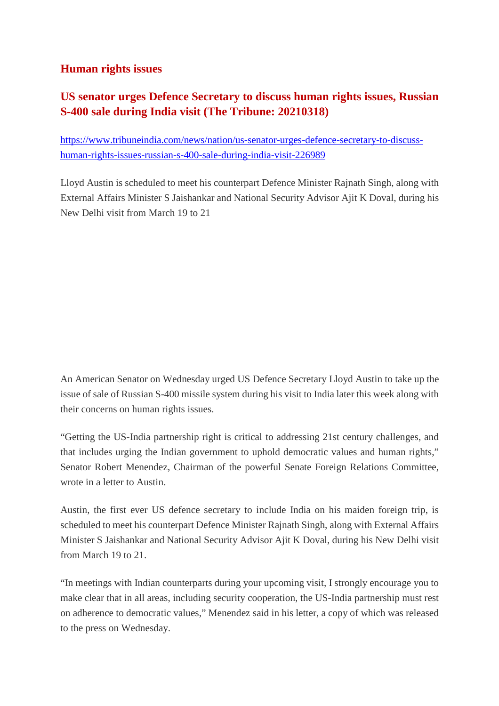#### **Human rights issues**

#### **US senator urges Defence Secretary to discuss human rights issues, Russian S-400 sale during India visit (The Tribune: 20210318)**

https://www.tribuneindia.com/news/nation/us-senator-urges-defence-secretary-to-discusshuman-rights-issues-russian-s-400-sale-during-india-visit-226989

Lloyd Austin is scheduled to meet his counterpart Defence Minister Rajnath Singh, along with External Affairs Minister S Jaishankar and National Security Advisor Ajit K Doval, during his New Delhi visit from March 19 to 21

An American Senator on Wednesday urged US Defence Secretary Lloyd Austin to take up the issue of sale of Russian S-400 missile system during his visit to India later this week along with their concerns on human rights issues.

"Getting the US-India partnership right is critical to addressing 21st century challenges, and that includes urging the Indian government to uphold democratic values and human rights," Senator Robert Menendez, Chairman of the powerful Senate Foreign Relations Committee, wrote in a letter to Austin.

Austin, the first ever US defence secretary to include India on his maiden foreign trip, is scheduled to meet his counterpart Defence Minister Rajnath Singh, along with External Affairs Minister S Jaishankar and National Security Advisor Ajit K Doval, during his New Delhi visit from March 19 to 21.

"In meetings with Indian counterparts during your upcoming visit, I strongly encourage you to make clear that in all areas, including security cooperation, the US-India partnership must rest on adherence to democratic values," Menendez said in his letter, a copy of which was released to the press on Wednesday.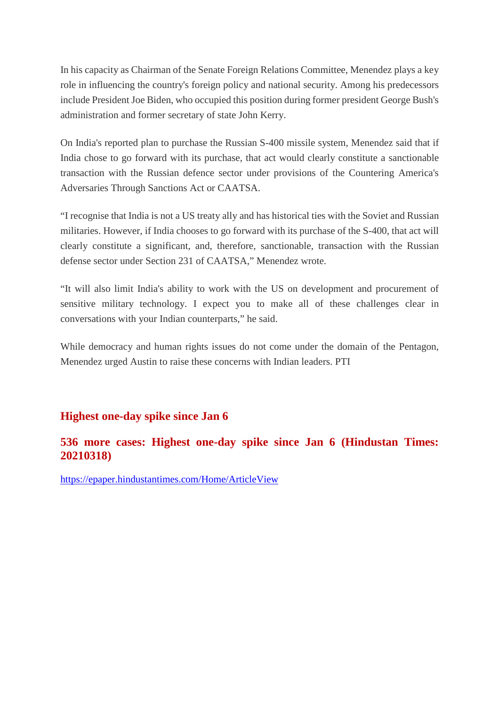In his capacity as Chairman of the Senate Foreign Relations Committee, Menendez plays a key role in influencing the country's foreign policy and national security. Among his predecessors include President Joe Biden, who occupied this position during former president George Bush's administration and former secretary of state John Kerry.

On India's reported plan to purchase the Russian S-400 missile system, Menendez said that if India chose to go forward with its purchase, that act would clearly constitute a sanctionable transaction with the Russian defence sector under provisions of the Countering America's Adversaries Through Sanctions Act or CAATSA.

"I recognise that India is not a US treaty ally and has historical ties with the Soviet and Russian militaries. However, if India chooses to go forward with its purchase of the S-400, that act will clearly constitute a significant, and, therefore, sanctionable, transaction with the Russian defense sector under Section 231 of CAATSA," Menendez wrote.

"It will also limit India's ability to work with the US on development and procurement of sensitive military technology. I expect you to make all of these challenges clear in conversations with your Indian counterparts," he said.

While democracy and human rights issues do not come under the domain of the Pentagon, Menendez urged Austin to raise these concerns with Indian leaders. PTI

#### **Highest one-day spike since Jan 6**

#### **536 more cases: Highest one-day spike since Jan 6 (Hindustan Times: 20210318)**

https://epaper.hindustantimes.com/Home/ArticleView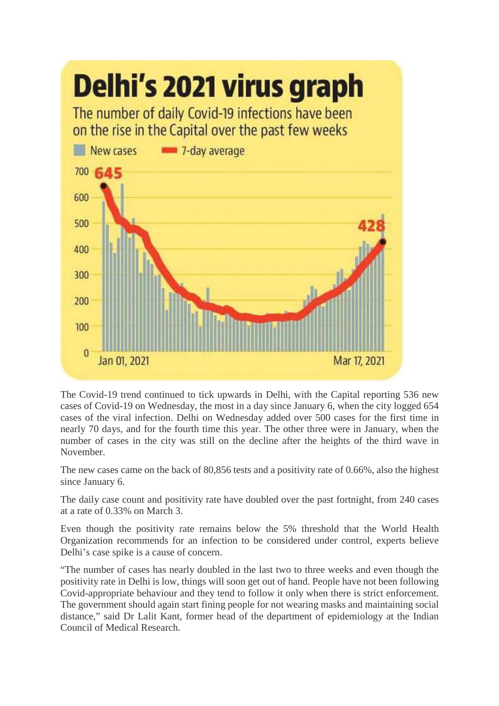

The Covid-19 trend continued to tick upwards in Delhi, with the Capital reporting 536 new cases of Covid-19 on Wednesday, the most in a day since January 6, when the city logged 654 cases of the viral infection. Delhi on Wednesday added over 500 cases for the first time in nearly 70 days, and for the fourth time this year. The other three were in January, when the number of cases in the city was still on the decline after the heights of the third wave in November.

The new cases came on the back of 80,856 tests and a positivity rate of 0.66%, also the highest since January 6.

The daily case count and positivity rate have doubled over the past fortnight, from 240 cases at a rate of 0.33% on March 3.

Even though the positivity rate remains below the 5% threshold that the World Health Organization recommends for an infection to be considered under control, experts believe Delhi's case spike is a cause of concern.

"The number of cases has nearly doubled in the last two to three weeks and even though the positivity rate in Delhi is low, things will soon get out of hand. People have not been following Covid-appropriate behaviour and they tend to follow it only when there is strict enforcement. The government should again start fining people for not wearing masks and maintaining social distance," said Dr Lalit Kant, former head of the department of epidemiology at the Indian Council of Medical Research.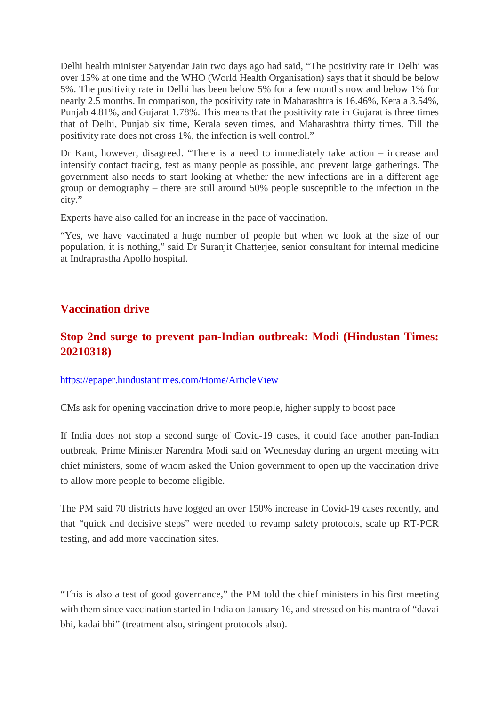Delhi health minister Satyendar Jain two days ago had said, "The positivity rate in Delhi was over 15% at one time and the WHO (World Health Organisation) says that it should be below 5%. The positivity rate in Delhi has been below 5% for a few months now and below 1% for nearly 2.5 months. In comparison, the positivity rate in Maharashtra is 16.46%, Kerala 3.54%, Punjab 4.81%, and Gujarat 1.78%. This means that the positivity rate in Gujarat is three times that of Delhi, Punjab six time, Kerala seven times, and Maharashtra thirty times. Till the positivity rate does not cross 1%, the infection is well control."

Dr Kant, however, disagreed. "There is a need to immediately take action – increase and intensify contact tracing, test as many people as possible, and prevent large gatherings. The government also needs to start looking at whether the new infections are in a different age group or demography – there are still around 50% people susceptible to the infection in the city."

Experts have also called for an increase in the pace of vaccination.

"Yes, we have vaccinated a huge number of people but when we look at the size of our population, it is nothing," said Dr Suranjit Chatterjee, senior consultant for internal medicine at Indraprastha Apollo hospital.

#### **Vaccination drive**

#### **Stop 2nd surge to prevent pan-Indian outbreak: Modi (Hindustan Times: 20210318)**

https://epaper.hindustantimes.com/Home/ArticleView

CMs ask for opening vaccination drive to more people, higher supply to boost pace

If India does not stop a second surge of Covid-19 cases, it could face another pan-Indian outbreak, Prime Minister Narendra Modi said on Wednesday during an urgent meeting with chief ministers, some of whom asked the Union government to open up the vaccination drive to allow more people to become eligible.

The PM said 70 districts have logged an over 150% increase in Covid-19 cases recently, and that "quick and decisive steps" were needed to revamp safety protocols, scale up RT-PCR testing, and add more vaccination sites.

"This is also a test of good governance," the PM told the chief ministers in his first meeting with them since vaccination started in India on January 16, and stressed on his mantra of "davai bhi, kadai bhi" (treatment also, stringent protocols also).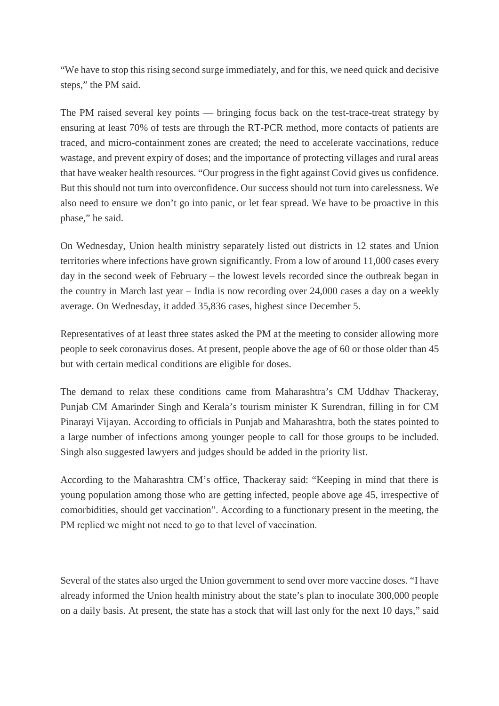"We have to stop this rising second surge immediately, and for this, we need quick and decisive steps," the PM said.

The PM raised several key points — bringing focus back on the test-trace-treat strategy by ensuring at least 70% of tests are through the RT-PCR method, more contacts of patients are traced, and micro-containment zones are created; the need to accelerate vaccinations, reduce wastage, and prevent expiry of doses; and the importance of protecting villages and rural areas that have weaker health resources. "Our progress in the fight against Covid gives us confidence. But this should not turn into overconfidence. Our success should not turn into carelessness. We also need to ensure we don't go into panic, or let fear spread. We have to be proactive in this phase," he said.

On Wednesday, Union health ministry separately listed out districts in 12 states and Union territories where infections have grown significantly. From a low of around 11,000 cases every day in the second week of February – the lowest levels recorded since the outbreak began in the country in March last year – India is now recording over 24,000 cases a day on a weekly average. On Wednesday, it added 35,836 cases, highest since December 5.

Representatives of at least three states asked the PM at the meeting to consider allowing more people to seek coronavirus doses. At present, people above the age of 60 or those older than 45 but with certain medical conditions are eligible for doses.

The demand to relax these conditions came from Maharashtra's CM Uddhav Thackeray, Punjab CM Amarinder Singh and Kerala's tourism minister K Surendran, filling in for CM Pinarayi Vijayan. According to officials in Punjab and Maharashtra, both the states pointed to a large number of infections among younger people to call for those groups to be included. Singh also suggested lawyers and judges should be added in the priority list.

According to the Maharashtra CM's office, Thackeray said: "Keeping in mind that there is young population among those who are getting infected, people above age 45, irrespective of comorbidities, should get vaccination". According to a functionary present in the meeting, the PM replied we might not need to go to that level of vaccination.

Several of the states also urged the Union government to send over more vaccine doses. "I have already informed the Union health ministry about the state's plan to inoculate 300,000 people on a daily basis. At present, the state has a stock that will last only for the next 10 days," said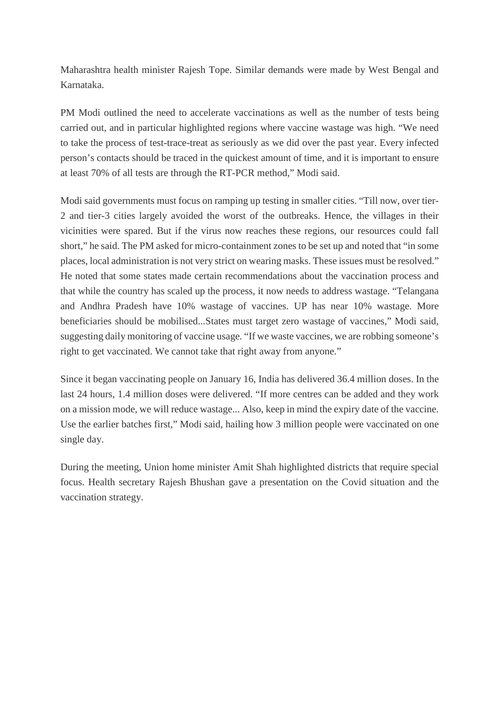Maharashtra health minister Rajesh Tope. Similar demands were made by West Bengal and Karnataka.

PM Modi outlined the need to accelerate vaccinations as well as the number of tests being carried out, and in particular highlighted regions where vaccine wastage was high. "We need to take the process of test-trace-treat as seriously as we did over the past year. Every infected person's contacts should be traced in the quickest amount of time, and it is important to ensure at least 70% of all tests are through the RT-PCR method," Modi said.

Modi said governments must focus on ramping up testing in smaller cities. "Till now, over tier-2 and tier-3 cities largely avoided the worst of the outbreaks. Hence, the villages in their vicinities were spared. But if the virus now reaches these regions, our resources could fall short," he said. The PM asked for micro-containment zones to be set up and noted that "in some places, local administration is not very strict on wearing masks. These issues must be resolved." He noted that some states made certain recommendations about the vaccination process and that while the country has scaled up the process, it now needs to address wastage. "Telangana and Andhra Pradesh have 10% wastage of vaccines. UP has near 10% wastage. More beneficiaries should be mobilised...States must target zero wastage of vaccines," Modi said, suggesting daily monitoring of vaccine usage. "If we waste vaccines, we are robbing someone's right to get vaccinated. We cannot take that right away from anyone."

Since it began vaccinating people on January 16, India has delivered 36.4 million doses. In the last 24 hours, 1.4 million doses were delivered. "If more centres can be added and they work on a mission mode, we will reduce wastage... Also, keep in mind the expiry date of the vaccine. Use the earlier batches first," Modi said, hailing how 3 million people were vaccinated on one single day.

During the meeting, Union home minister Amit Shah highlighted districts that require special focus. Health secretary Rajesh Bhushan gave a presentation on the Covid situation and the vaccination strategy.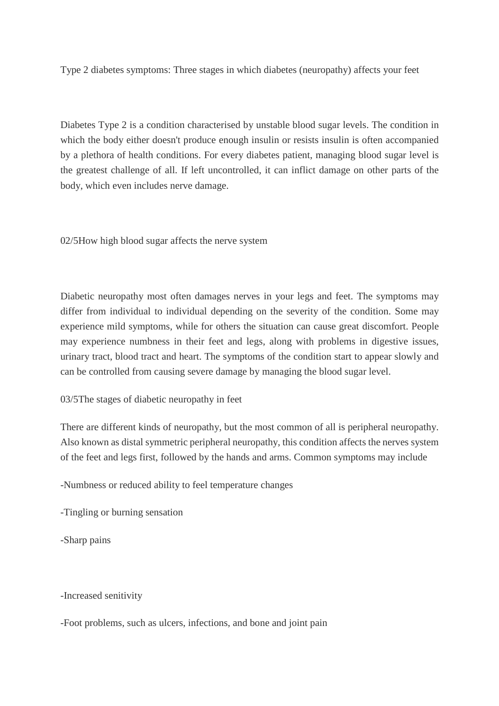Type 2 diabetes symptoms: Three stages in which diabetes (neuropathy) affects your feet

Diabetes Type 2 is a condition characterised by unstable blood sugar levels. The condition in which the body either doesn't produce enough insulin or resists insulin is often accompanied by a plethora of health conditions. For every diabetes patient, managing blood sugar level is the greatest challenge of all. If left uncontrolled, it can inflict damage on other parts of the body, which even includes nerve damage.

02/5How high blood sugar affects the nerve system

Diabetic neuropathy most often damages nerves in your legs and feet. The symptoms may differ from individual to individual depending on the severity of the condition. Some may experience mild symptoms, while for others the situation can cause great discomfort. People may experience numbness in their feet and legs, along with problems in digestive issues, urinary tract, blood tract and heart. The symptoms of the condition start to appear slowly and can be controlled from causing severe damage by managing the blood sugar level.

03/5The stages of diabetic neuropathy in feet

There are different kinds of neuropathy, but the most common of all is peripheral neuropathy. Also known as distal symmetric peripheral neuropathy, this condition affects the nerves system of the feet and legs first, followed by the hands and arms. Common symptoms may include

-Numbness or reduced ability to feel temperature changes

-Tingling or burning sensation

-Sharp pains

-Increased senitivity

-Foot problems, such as ulcers, infections, and bone and joint pain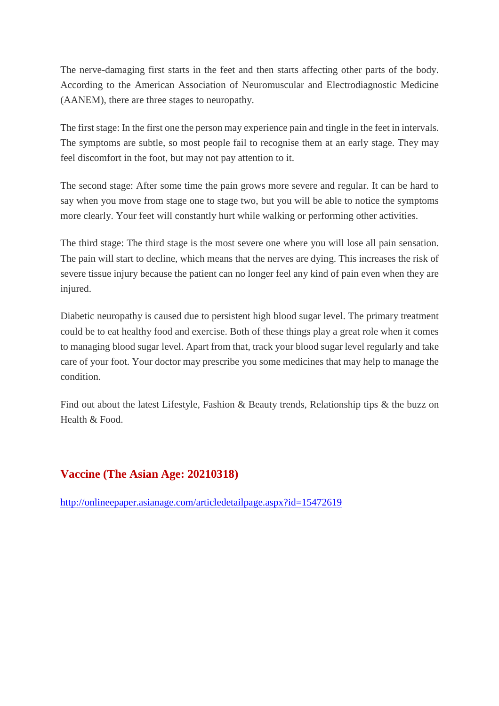The nerve-damaging first starts in the feet and then starts affecting other parts of the body. According to the American Association of Neuromuscular and Electrodiagnostic Medicine (AANEM), there are three stages to neuropathy.

The first stage: In the first one the person may experience pain and tingle in the feet in intervals. The symptoms are subtle, so most people fail to recognise them at an early stage. They may feel discomfort in the foot, but may not pay attention to it.

The second stage: After some time the pain grows more severe and regular. It can be hard to say when you move from stage one to stage two, but you will be able to notice the symptoms more clearly. Your feet will constantly hurt while walking or performing other activities.

The third stage: The third stage is the most severe one where you will lose all pain sensation. The pain will start to decline, which means that the nerves are dying. This increases the risk of severe tissue injury because the patient can no longer feel any kind of pain even when they are injured.

Diabetic neuropathy is caused due to persistent high blood sugar level. The primary treatment could be to eat healthy food and exercise. Both of these things play a great role when it comes to managing blood sugar level. Apart from that, track your blood sugar level regularly and take care of your foot. Your doctor may prescribe you some medicines that may help to manage the condition.

Find out about the latest Lifestyle, Fashion & Beauty trends, Relationship tips & the buzz on Health & Food.

#### **Vaccine (The Asian Age: 20210318)**

http://onlineepaper.asianage.com/articledetailpage.aspx?id=15472619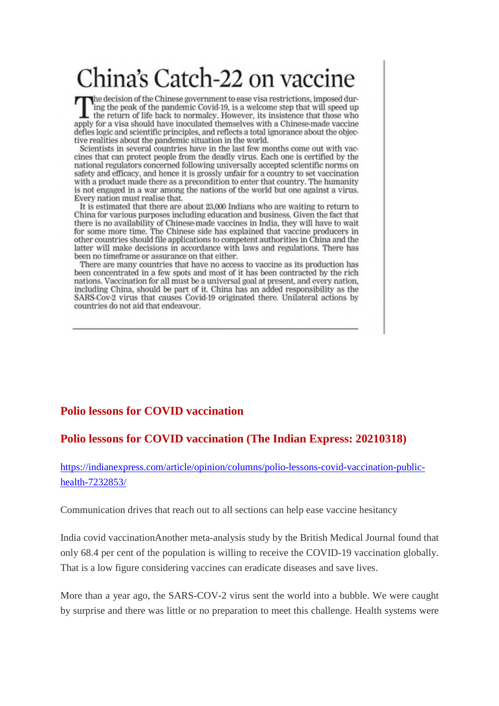## China's Catch-22 on vaccine

The decision of the Chinese government to ease visa restrictions, imposed during the peak of the pandemic Covid-19, is a welcome step that will speed up the return of life back to normalcy. However, its insistence that those who apply for a visa should have inoculated themselves with a Chinese-made vaccine defies logic and scientific principles, and reflects a total ignorance about the objective realities about the pandemic situation in the world.

Scientists in several countries have in the last few months come out with vaccines that can protect people from the deadly virus. Each one is certified by the national regulators concerned following universally accepted scientific norms on safety and efficacy, and hence it is grossly unfair for a country to set vaccination with a product made there as a precondition to enter that country. The humanity is not engaged in a war among the nations of the world but one against a virus. Every nation must realise that.

It is estimated that there are about 23,000 Indians who are waiting to return to China for various purposes including education and business. Given the fact that there is no availability of Chinese-made vaccines in India, they will have to wait for some more time. The Chinese side has explained that vaccine producers in other countries should file applications to competent authorities in China and the latter will make decisions in accordance with laws and regulations. There has been no timeframe or assurance on that either.

There are many countries that have no access to vaccine as its production has been concentrated in a few spots and most of it has been contracted by the rich nations. Vaccination for all must be a universal goal at present, and every nation, including China, should be part of it. China has an added responsibility as the SARS-Cov-2 virus that causes Covid-19 originated there. Unilateral actions by countries do not aid that endeavour.

#### **Polio lessons for COVID vaccination**

#### **Polio lessons for COVID vaccination (The Indian Express: 20210318)**

https://indianexpress.com/article/opinion/columns/polio-lessons-covid-vaccination-publichealth-7232853/

Communication drives that reach out to all sections can help ease vaccine hesitancy

India covid vaccinationAnother meta-analysis study by the British Medical Journal found that only 68.4 per cent of the population is willing to receive the COVID-19 vaccination globally. That is a low figure considering vaccines can eradicate diseases and save lives.

More than a year ago, the SARS-COV-2 virus sent the world into a bubble. We were caught by surprise and there was little or no preparation to meet this challenge. Health systems were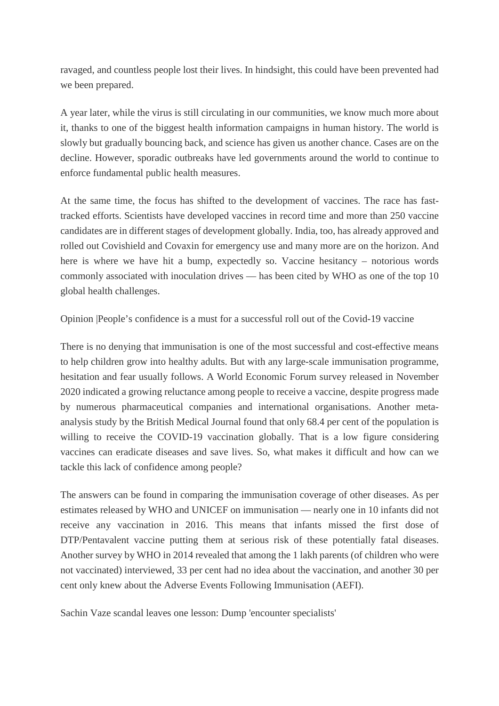ravaged, and countless people lost their lives. In hindsight, this could have been prevented had we been prepared.

A year later, while the virus is still circulating in our communities, we know much more about it, thanks to one of the biggest health information campaigns in human history. The world is slowly but gradually bouncing back, and science has given us another chance. Cases are on the decline. However, sporadic outbreaks have led governments around the world to continue to enforce fundamental public health measures.

At the same time, the focus has shifted to the development of vaccines. The race has fasttracked efforts. Scientists have developed vaccines in record time and more than 250 vaccine candidates are in different stages of development globally. India, too, has already approved and rolled out Covishield and Covaxin for emergency use and many more are on the horizon. And here is where we have hit a bump, expectedly so. Vaccine hesitancy – notorious words commonly associated with inoculation drives — has been cited by WHO as one of the top 10 global health challenges.

Opinion |People's confidence is a must for a successful roll out of the Covid-19 vaccine

There is no denying that immunisation is one of the most successful and cost-effective means to help children grow into healthy adults. But with any large-scale immunisation programme, hesitation and fear usually follows. A World Economic Forum survey released in November 2020 indicated a growing reluctance among people to receive a vaccine, despite progress made by numerous pharmaceutical companies and international organisations. Another metaanalysis study by the British Medical Journal found that only 68.4 per cent of the population is willing to receive the COVID-19 vaccination globally. That is a low figure considering vaccines can eradicate diseases and save lives. So, what makes it difficult and how can we tackle this lack of confidence among people?

The answers can be found in comparing the immunisation coverage of other diseases. As per estimates released by WHO and UNICEF on immunisation — nearly one in 10 infants did not receive any vaccination in 2016. This means that infants missed the first dose of DTP/Pentavalent vaccine putting them at serious risk of these potentially fatal diseases. Another survey by WHO in 2014 revealed that among the 1 lakh parents (of children who were not vaccinated) interviewed, 33 per cent had no idea about the vaccination, and another 30 per cent only knew about the Adverse Events Following Immunisation (AEFI).

Sachin Vaze scandal leaves one lesson: Dump 'encounter specialists'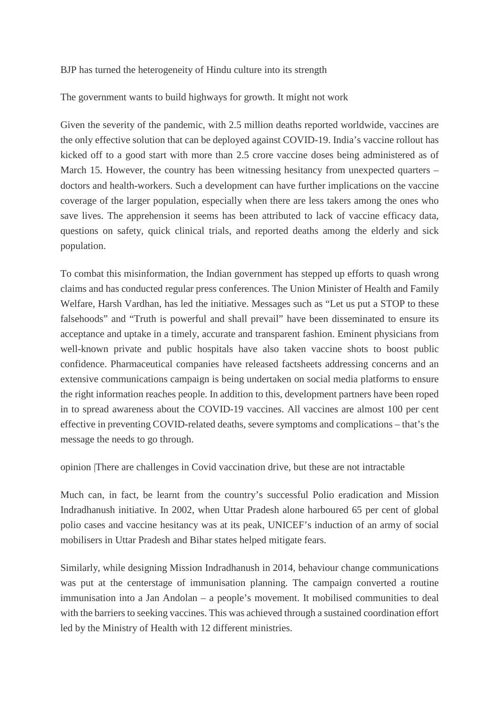BJP has turned the heterogeneity of Hindu culture into its strength

The government wants to build highways for growth. It might not work

Given the severity of the pandemic, with 2.5 million deaths reported worldwide, vaccines are the only effective solution that can be deployed against COVID-19. India's vaccine rollout has kicked off to a good start with more than 2.5 crore vaccine doses being administered as of March 15. However, the country has been witnessing hesitancy from unexpected quarters – doctors and health-workers. Such a development can have further implications on the vaccine coverage of the larger population, especially when there are less takers among the ones who save lives. The apprehension it seems has been attributed to lack of vaccine efficacy data, questions on safety, quick clinical trials, and reported deaths among the elderly and sick population.

To combat this misinformation, the Indian government has stepped up efforts to quash wrong claims and has conducted regular press conferences. The Union Minister of Health and Family Welfare, Harsh Vardhan, has led the initiative. Messages such as "Let us put a STOP to these falsehoods" and "Truth is powerful and shall prevail" have been disseminated to ensure its acceptance and uptake in a timely, accurate and transparent fashion. Eminent physicians from well-known private and public hospitals have also taken vaccine shots to boost public confidence. Pharmaceutical companies have released factsheets addressing concerns and an extensive communications campaign is being undertaken on social media platforms to ensure the right information reaches people. In addition to this, development partners have been roped in to spread awareness about the COVID-19 vaccines. All vaccines are almost 100 per cent effective in preventing COVID-related deaths, severe symptoms and complications – that's the message the needs to go through.

opinion |There are challenges in Covid vaccination drive, but these are not intractable

Much can, in fact, be learnt from the country's successful Polio eradication and Mission Indradhanush initiative. In 2002, when Uttar Pradesh alone harboured 65 per cent of global polio cases and vaccine hesitancy was at its peak, UNICEF's induction of an army of social mobilisers in Uttar Pradesh and Bihar states helped mitigate fears.

Similarly, while designing Mission Indradhanush in 2014, behaviour change communications was put at the centerstage of immunisation planning. The campaign converted a routine immunisation into a Jan Andolan – a people's movement. It mobilised communities to deal with the barriers to seeking vaccines. This was achieved through a sustained coordination effort led by the Ministry of Health with 12 different ministries.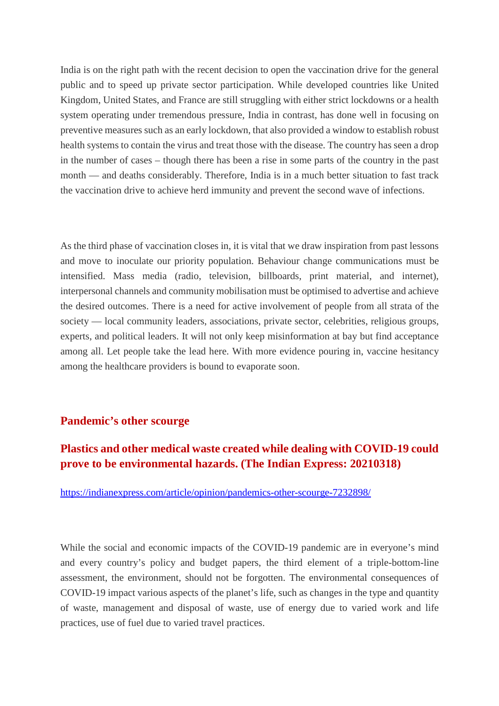India is on the right path with the recent decision to open the vaccination drive for the general public and to speed up private sector participation. While developed countries like United Kingdom, United States, and France are still struggling with either strict lockdowns or a health system operating under tremendous pressure, India in contrast, has done well in focusing on preventive measures such as an early lockdown, that also provided a window to establish robust health systems to contain the virus and treat those with the disease. The country has seen a drop in the number of cases – though there has been a rise in some parts of the country in the past month — and deaths considerably. Therefore, India is in a much better situation to fast track the vaccination drive to achieve herd immunity and prevent the second wave of infections.

As the third phase of vaccination closes in, it is vital that we draw inspiration from past lessons and move to inoculate our priority population. Behaviour change communications must be intensified. Mass media (radio, television, billboards, print material, and internet), interpersonal channels and community mobilisation must be optimised to advertise and achieve the desired outcomes. There is a need for active involvement of people from all strata of the society — local community leaders, associations, private sector, celebrities, religious groups, experts, and political leaders. It will not only keep misinformation at bay but find acceptance among all. Let people take the lead here. With more evidence pouring in, vaccine hesitancy among the healthcare providers is bound to evaporate soon.

#### **Pandemic's other scourge**

#### **Plastics and other medical waste created while dealing with COVID-19 could prove to be environmental hazards. (The Indian Express: 20210318)**

https://indianexpress.com/article/opinion/pandemics-other-scourge-7232898/

While the social and economic impacts of the COVID-19 pandemic are in everyone's mind and every country's policy and budget papers, the third element of a triple-bottom-line assessment, the environment, should not be forgotten. The environmental consequences of COVID-19 impact various aspects of the planet's life, such as changes in the type and quantity of waste, management and disposal of waste, use of energy due to varied work and life practices, use of fuel due to varied travel practices.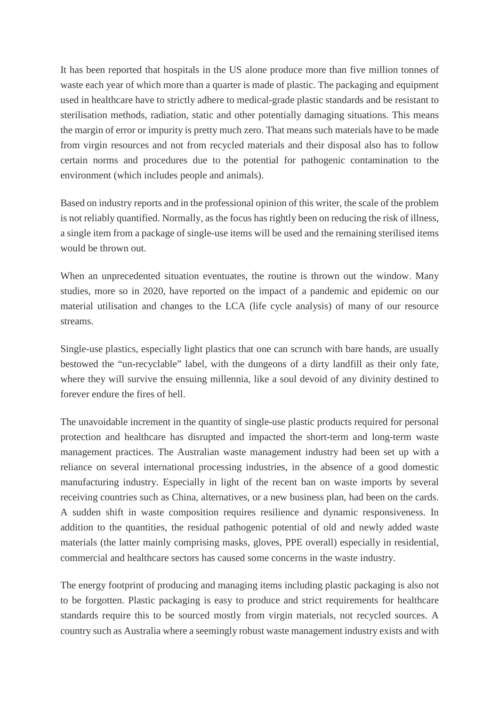It has been reported that hospitals in the US alone produce more than five million tonnes of waste each year of which more than a quarter is made of plastic. The packaging and equipment used in healthcare have to strictly adhere to medical-grade plastic standards and be resistant to sterilisation methods, radiation, static and other potentially damaging situations. This means the margin of error or impurity is pretty much zero. That means such materials have to be made from virgin resources and not from recycled materials and their disposal also has to follow certain norms and procedures due to the potential for pathogenic contamination to the environment (which includes people and animals).

Based on industry reports and in the professional opinion of this writer, the scale of the problem is not reliably quantified. Normally, as the focus has rightly been on reducing the risk of illness, a single item from a package of single-use items will be used and the remaining sterilised items would be thrown out.

When an unprecedented situation eventuates, the routine is thrown out the window. Many studies, more so in 2020, have reported on the impact of a pandemic and epidemic on our material utilisation and changes to the LCA (life cycle analysis) of many of our resource streams.

Single-use plastics, especially light plastics that one can scrunch with bare hands, are usually bestowed the "un-recyclable" label, with the dungeons of a dirty landfill as their only fate, where they will survive the ensuing millennia, like a soul devoid of any divinity destined to forever endure the fires of hell.

The unavoidable increment in the quantity of single-use plastic products required for personal protection and healthcare has disrupted and impacted the short-term and long-term waste management practices. The Australian waste management industry had been set up with a reliance on several international processing industries, in the absence of a good domestic manufacturing industry. Especially in light of the recent ban on waste imports by several receiving countries such as China, alternatives, or a new business plan, had been on the cards. A sudden shift in waste composition requires resilience and dynamic responsiveness. In addition to the quantities, the residual pathogenic potential of old and newly added waste materials (the latter mainly comprising masks, gloves, PPE overall) especially in residential, commercial and healthcare sectors has caused some concerns in the waste industry.

The energy footprint of producing and managing items including plastic packaging is also not to be forgotten. Plastic packaging is easy to produce and strict requirements for healthcare standards require this to be sourced mostly from virgin materials, not recycled sources. A country such as Australia where a seemingly robust waste management industry exists and with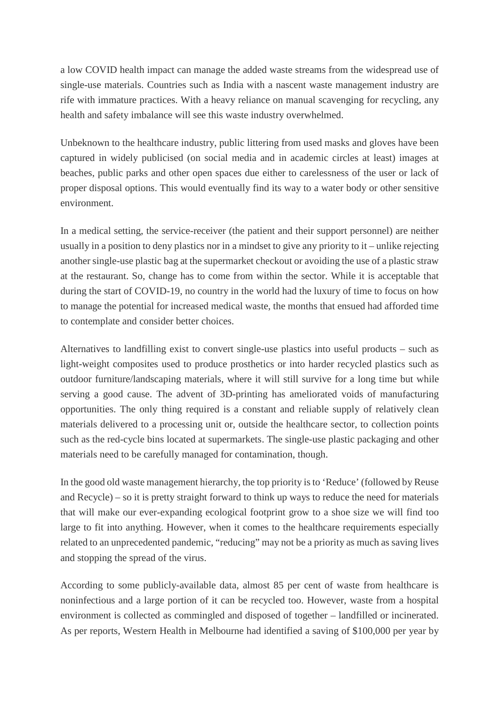a low COVID health impact can manage the added waste streams from the widespread use of single-use materials. Countries such as India with a nascent waste management industry are rife with immature practices. With a heavy reliance on manual scavenging for recycling, any health and safety imbalance will see this waste industry overwhelmed.

Unbeknown to the healthcare industry, public littering from used masks and gloves have been captured in widely publicised (on social media and in academic circles at least) images at beaches, public parks and other open spaces due either to carelessness of the user or lack of proper disposal options. This would eventually find its way to a water body or other sensitive environment.

In a medical setting, the service-receiver (the patient and their support personnel) are neither usually in a position to deny plastics nor in a mindset to give any priority to it – unlike rejecting another single-use plastic bag at the supermarket checkout or avoiding the use of a plastic straw at the restaurant. So, change has to come from within the sector. While it is acceptable that during the start of COVID-19, no country in the world had the luxury of time to focus on how to manage the potential for increased medical waste, the months that ensued had afforded time to contemplate and consider better choices.

Alternatives to landfilling exist to convert single-use plastics into useful products – such as light-weight composites used to produce prosthetics or into harder recycled plastics such as outdoor furniture/landscaping materials, where it will still survive for a long time but while serving a good cause. The advent of 3D-printing has ameliorated voids of manufacturing opportunities. The only thing required is a constant and reliable supply of relatively clean materials delivered to a processing unit or, outside the healthcare sector, to collection points such as the red-cycle bins located at supermarkets. The single-use plastic packaging and other materials need to be carefully managed for contamination, though.

In the good old waste management hierarchy, the top priority is to 'Reduce' (followed by Reuse and Recycle) – so it is pretty straight forward to think up ways to reduce the need for materials that will make our ever-expanding ecological footprint grow to a shoe size we will find too large to fit into anything. However, when it comes to the healthcare requirements especially related to an unprecedented pandemic, "reducing" may not be a priority as much as saving lives and stopping the spread of the virus.

According to some publicly-available data, almost 85 per cent of waste from healthcare is noninfectious and a large portion of it can be recycled too. However, waste from a hospital environment is collected as commingled and disposed of together – landfilled or incinerated. As per reports, Western Health in Melbourne had identified a saving of \$100,000 per year by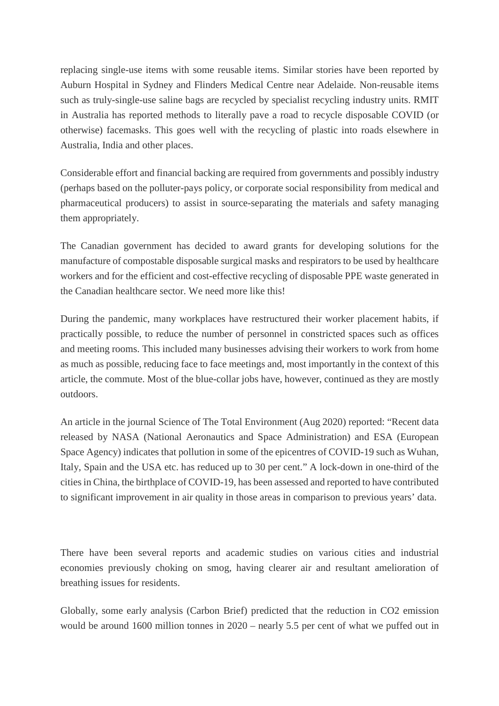replacing single-use items with some reusable items. Similar stories have been reported by Auburn Hospital in Sydney and Flinders Medical Centre near Adelaide. Non-reusable items such as truly-single-use saline bags are recycled by specialist recycling industry units. RMIT in Australia has reported methods to literally pave a road to recycle disposable COVID (or otherwise) facemasks. This goes well with the recycling of plastic into roads elsewhere in Australia, India and other places.

Considerable effort and financial backing are required from governments and possibly industry (perhaps based on the polluter-pays policy, or corporate social responsibility from medical and pharmaceutical producers) to assist in source-separating the materials and safety managing them appropriately.

The Canadian government has decided to award grants for developing solutions for the manufacture of compostable disposable surgical masks and respirators to be used by healthcare workers and for the efficient and cost-effective recycling of disposable PPE waste generated in the Canadian healthcare sector. We need more like this!

During the pandemic, many workplaces have restructured their worker placement habits, if practically possible, to reduce the number of personnel in constricted spaces such as offices and meeting rooms. This included many businesses advising their workers to work from home as much as possible, reducing face to face meetings and, most importantly in the context of this article, the commute. Most of the blue-collar jobs have, however, continued as they are mostly outdoors.

An article in the journal Science of The Total Environment (Aug 2020) reported: "Recent data released by NASA (National Aeronautics and Space Administration) and ESA (European Space Agency) indicates that pollution in some of the epicentres of COVID-19 such as Wuhan, Italy, Spain and the USA etc. has reduced up to 30 per cent." A lock-down in one-third of the cities in China, the birthplace of COVID-19, has been assessed and reported to have contributed to significant improvement in air quality in those areas in comparison to previous years' data.

There have been several reports and academic studies on various cities and industrial economies previously choking on smog, having clearer air and resultant amelioration of breathing issues for residents.

Globally, some early analysis (Carbon Brief) predicted that the reduction in CO2 emission would be around 1600 million tonnes in 2020 – nearly 5.5 per cent of what we puffed out in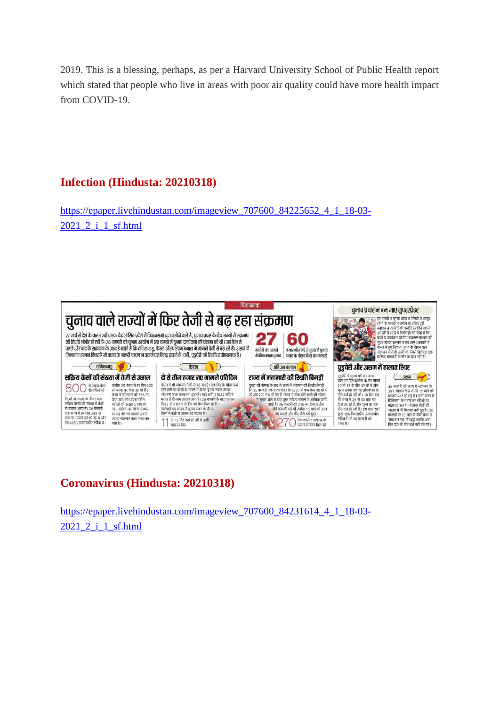2019. This is a blessing, perhaps, as per a Harvard University School of Public Health report which stated that people who live in areas with poor air quality could have more health impact from COVID-19.

#### **Infection (Hindusta: 20210318)**

https://epaper.livehindustan.com/imageview\_707600\_84225652\_4\_1\_18-03-2021\_2\_i\_1\_sf.html



#### **Coronavirus (Hindusta: 20210318)**

https://epaper.livehindustan.com/imageview\_707600\_84231614\_4\_1\_18-03-2021 2 i 1 sf.html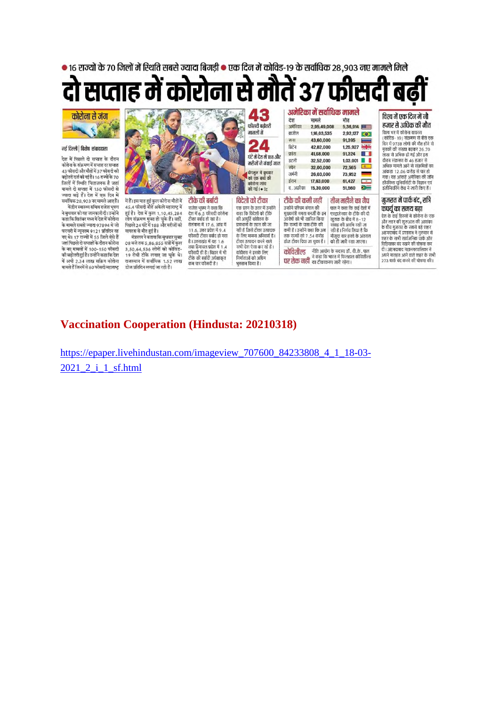

#### **Vaccination Cooperation (Hindusta: 20210318)**

https://epaper.livehindustan.com/imageview\_707600\_84233808\_4\_1\_18-03- 2021 2 i 1 sf.html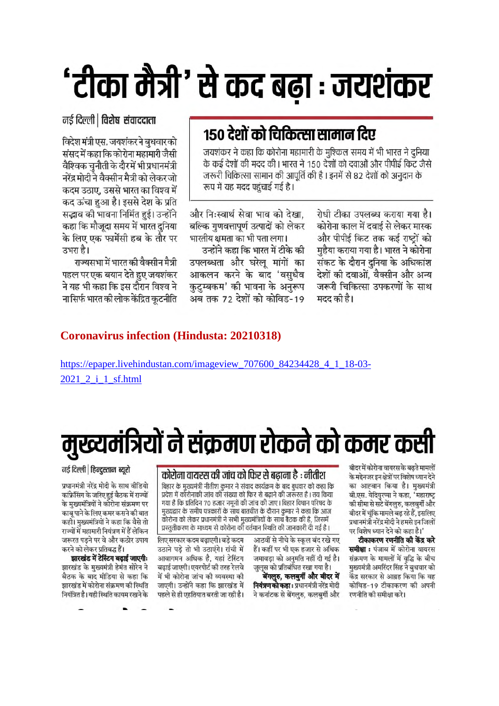# 'टीका मैत्री' से कद बढ़ा : जयशंकर

नई दिल्ली | विशेष संवाददाता

विदेश मंत्री एस. जयशंकर ने बुधवार को संसद में कहा कि कोरोना महामारी जैसी वैश्विक चुनौती के दौरमें भी प्रधानमंत्री नरेंद्र मोदी ने वैक्सीन मैत्री को लेकर जो कदम उठाए. उससे भारत का विश्व में कद ऊंचा हुआ है। इससे देश के प्रति सद्भाव की भावना निर्मित हुई। उन्होंने कहा कि मौजूदा समय में भारत दुनिया के लिए एक फार्मेसी हब के तौर पर उभरा है।

राज्यसभा में भारत की वैक्सीन मैत्री पहल पर एक बयान देते हुए जयशंकर ने यह भी कहा कि इस दौरान विश्व ने ना सिर्फ भारत की लोक केंद्रित कटनीति

### १५० देशों को चिकित्सा सामान दिए

जयशंकर ने कहा कि कोरोना महामारी के मुश्किल समय में भी भारत ने दुनिया के कई देशों की मदद की। भारत ने 150 देशों को दवाओं और पीपीई किट जैसे जरूरी चिकित्सा सामान की आपूर्ति की है । इनमें से 82 देशों को अनुदान के रूप में यह मदद पहुंचाई गई है।

और निःस्वार्थ सेवा भाव को देखा. बल्कि गणवत्तापूर्ण उत्पादों को लेकर भारतीय क्षमता का भी पता लगा।

उन्होंने कहा कि भारत में टीके की उपलब्धता और घरेल मांगों का आकलन करने के बाद 'वसुधैव कुटुम्बकम' की भावना के अनुरूप अब तक 72 देशों को कोविड-19

रोधी टीका उपलब्ध कराया गया है। कोरोना काल में दवाई से लेकर मास्क और पीपीई किट तक कई राष्टों को मुहैया कराया गया है। भारत ने कोरोना संकट के दौरान दुनिया के अधिकांश देशों की दवाओं. वैक्सीन और अन्य जरूरी चिकित्सा उपकरणों के साथ मदद की है।

#### **Coronavirus infection (Hindusta: 20210318)**

https://epaper.livehindustan.com/imageview\_707600\_84234428\_4\_1\_18-03-2021\_2\_i\_1\_sf.html

# मुख्यमंत्रियों ने संक्रमण रोकने को कमर कसी

बीदर में कोरोना वायरस के बढते मामलों के मद्देनजर इन क्षेत्रों पर विशेष ध्यान देने का आह्वान किया है। मुख्यमंत्री बी.एस. येदियरप्पा ने कहा. 'महाराष्ट की सीमा से सटे बेंगलरु. कलबर्गी और बीदर में चंकि मामले बढ रहे हैं. इसलिए प्रधानमंत्री नरेंद्र मोदी ने हमसे इन जिलों पर विशेष ध्यान देने को कहा है।'

टीकाकरण रणनीति की केंद्र करे **समीक्षा :** पंजाब में कोरोना वायरस संक्रमण के मामलों में वद्धि के बीच मख्यमंत्री अमरिंदर सिंह ने बधवार को केंद्र सरकार से आग्रह किया कि वह कोविड-19 टीकाकरण की अपनी रणनीति की समीक्षा करे।

#### कोरोना वायरस की जांच को फिर से बढ़ाना है : नीतीश

बिहार के मुख्यमंत्री नीतीश कुमार ने संवाद कार्यक्रम के बाद बुधवार को कहा कि प्रदेश में कौरोनाकी जांच की संख्या को फिर से बढाने की जरूरत है। तय किया गया है कि प्रतिदिन 70 हजार नमूनों की जांच की जाए। बिहार विधान परिषद के मख्यद्वार के समीप पत्रकारों के साथ बातचीत के दौरान कमार ने कहा कि आज कोरोना को लेकर प्रधानमंत्री ने सभी मुख्यमंत्रियों के साथ बैठक की है, जिसमें प्रस्ततीकरण के माध्यम से कोरोना की वर्तमान स्थिति की जानकारी दी गई है ।

> आठवीं से नीचे के स्कल बंद रखे गए हैं। कहीं पर भी एक हजार से अधिक जमावडा को अनमति नहीं दी गई है। जुलूस को प्रतिबंधित रखा गया है।

> बेंगलूरु, कलबुर्गी और बीदर में नियंत्रण को कहा: प्रधानमंत्री नरेंद्र मोदी ने कर्नाटक से बेंगलरु. कलबर्गी और

.<br>लिए सरकार कदम बढाएगी। बडे कदम उठाने पडे तो भी उठाएंगे। रांची में आवागमन अधिक है. यहां टेस्टिंग बढाई जाएगी। एयरपोर्ट की तरह रेलवे में भी कोरोना जांच की व्यवस्था की जाएगी। उन्होंने कहा कि झारखंड में पहले से ही एहतियात बरती जा रही है।

#### नई दिल्ली | हिन्दुस्तान ब्यूरो

प्रधानमंत्री नरेंद्र मोदी के साथ वीडियो कांफ्रेसिंग के जरिए हुई बैठक में राज्यों के मख्यमंत्रियों ने कोरोना संक्रमण पर काब पाने के लिए कमर कसने की बात कहीं। मुख्यमंत्रियों ने कहा कि वैसे तो राज्यों में महामारी नियंत्रण में हैं लेकिन जरूरत पडने पर वे और कठोर उपाय करने को लेकर प्रतिबद्ध हैं।

झारखंड में टेस्टिंग बढाई जाएगी: झारखंड के मख्यमंत्री हेमंत सोरेन ने बैठक के बाद मीडिया से कहा कि झारखंड में कोरोना संक्रमण की स्थिति नियंत्रित है। यही स्थिति कायम रखने के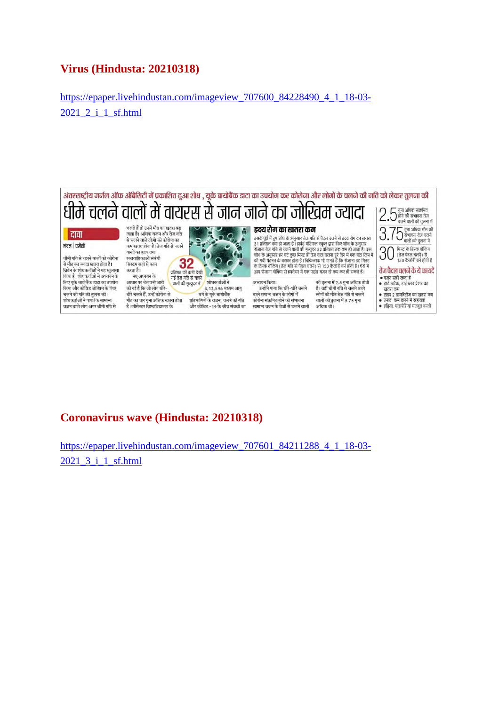#### **Virus (Hindusta: 20210318)**

https://epaper.livehindustan.com/imageview\_707600\_84228490\_4\_1\_18-03- 2021\_2\_i\_1\_sf.html



#### **Coronavirus wave (Hindusta: 20210318)**

https://epaper.livehindustan.com/imageview\_707601\_84211288\_4\_1\_18-03-2021\_3\_i\_1\_sf.html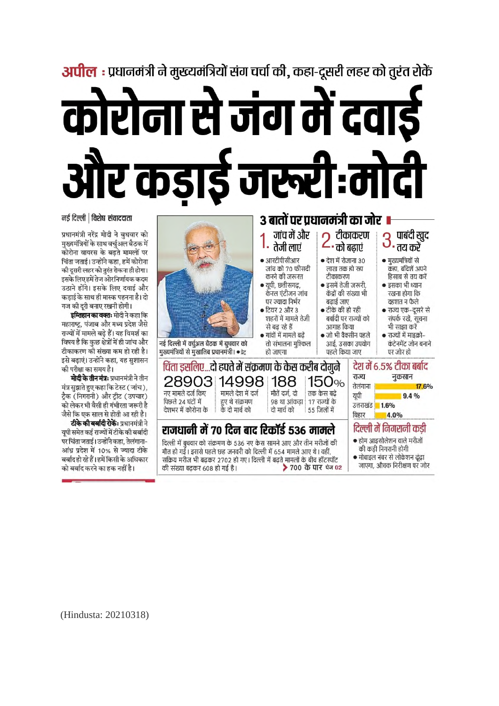# **अपील :** प्रधानमंत्री ने मुख्यमंत्रियों संग चर्चा की, कहा-दूसरी लहर को तुरंत रोकें कोरोना से जंग में दवा! र कडाडे जरूरी:मी

नई दिल्ली | विशेष संवाददाता

प्रधानमंत्री नरेंद्र मोदी ने बुधवार को .<br>मुख्यमंत्रियों के साथ वर्चुअल बैठक में कोरोना वायरस के बढते मामलों पर चिंता जताई। उन्होंने कहा, हमें कोरोना की दूसरी लहर को तुरंत रोकना ही होगा। इसके लिए हमें तेज ओर निर्णायक कदम उठाने होंगे। इसके लिए दवाई और कडाई के साथ ही मास्क पहनना है। दो गज की दूरी बनाए रखनी होगी।

**इम्तिहान का वक्तः** मोदी ने कहा कि महाराष्ट्र, पंजाब और मध्य प्रदेश जैसे राज्यों में मामले बढे हैं। यह विमर्श का विषय है कि कुछ क्षेत्रों में ही जांच और टीकाकरण की संख्या कम हो रही है। इसे बढ़ाएं। उन्होंने कहा, यह सुशासन को परीक्षा का समय है।

**मोदी के तीन मंत्र:** प्रधानमंत्री ने तीन मंत्र सझाते हुए कहा कि टेस्ट ( जांच). टैक (निगरानी) और टीट (उपचार) को लेकर भी वैसी ही गंभीरता जरूरी है जैसे कि एक साल से होती आ रही है। टीके की बर्बादी रोकें: प्रधानमंत्री ने यूपी समेत कई राज्यों में टीके की बर्बादी पर चिंता जताई। उन्होंने कहा, तेलंगाना-आंध्र प्रदेश में 10% से ज्यादा टीके बर्बाद हो रहे हैं। हमें किसी के अधिकार को बर्बाद करने का हक नहीं है।



(Hindusta: 20210318)